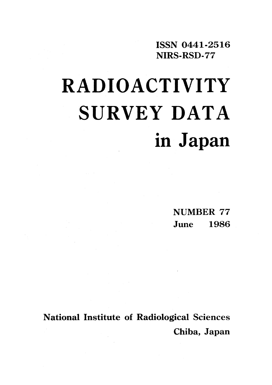ISSN 0441-2516 NIRS-RSD-77

# RADIOACTIVITY SURVEY DATA in Japan

**NUMBER 77** June 1986

**National Institute of Radiological Sciences** Chiba, Japan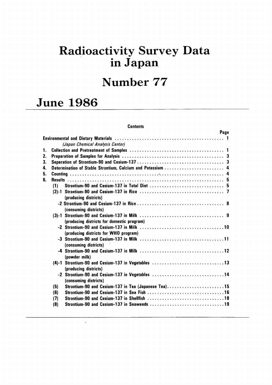# Radioactivity Survey Data in Japan

## Number 77

# **June 1986**

 $\ddot{\phantom{0}}$ 

### **Contents**

|    |     | Page                                                                        |  |
|----|-----|-----------------------------------------------------------------------------|--|
|    |     |                                                                             |  |
|    |     | (Japan Chemical Analysis Center)                                            |  |
|    |     |                                                                             |  |
| 2. |     |                                                                             |  |
| 3. |     |                                                                             |  |
| 4. |     | Determination of Stable Strontium, Calcium and Potassium  4                 |  |
| 5. |     |                                                                             |  |
| 6. |     |                                                                             |  |
|    | (1) |                                                                             |  |
|    |     | (producing districts)                                                       |  |
|    |     | (consuming districts)                                                       |  |
|    |     | (producing districts for domestic program)                                  |  |
|    |     | (producing districts for WHO program)                                       |  |
|    |     | (consuming districts)                                                       |  |
|    |     | (powder milk)                                                               |  |
|    |     | (4)-1 Strontium-90 and Cesium-137 in Vegetables 13<br>(producing districts) |  |
|    |     | -2 Strontium-90 and Cesium-137 in Vegetables 14<br>(consuming districts)    |  |
|    | (5) | Strontium-90 and Cesium-137 in Tea (Japanese Tea)15                         |  |
|    | (6) |                                                                             |  |
|    | (7) |                                                                             |  |
|    | (8) | Strontium-90 and Cesium-137 in Seaweeds 19                                  |  |
|    |     |                                                                             |  |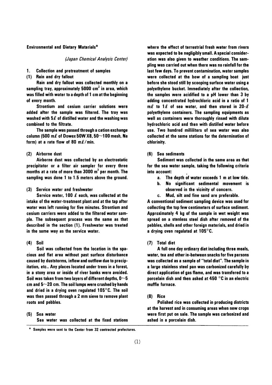#### **Environmental and Dietary Materials\***

(Japan Chemical Analysis Center)

- 1. **Collection and pretreatment of samples**
- (1) Rain and dry fallout

Rain and dry fallout was collected monthly on a sampling tray, approximately 5000  $\text{cm}^2$  in area, which was filled with water to a depth of 1 cm at the beginning of every month.

Strontium and cesium carrier solutions were added after the sample was filtered. The tray was washed with  $5\ell$  of distilled water and the washing was combined to the filtrate.

The sample was passed through a cation exchange column (500 m $\ell$  of Dowex 50W X8, 50 $\sim$ 100 mesh, Na form) at a rate flow of 80 m $\ell$ /min.

#### (2) Airborne dust

Airborne dust was collected by an electrostatic precipitator or a filter air sampler for every three months at a rate of more than  $3000 \text{ m}^3$  per month. The sampling was done 1 to 1.5 meters above the ground.

#### (3) Service water and freshwater

Service water, 100  $\ell$  each, was collected at the intake of the water-treatment plant and at the tap after water was left running for five minutes. Strontium and cesium carriers were added to the filtered water sample. The subsequent process was the same as that described in the section (1). Freshwater was treated in the same way as the service water.

#### $(4)$  Soil

Soil was collected from the location in the spacious and flat area without past surface disturbance caused by duststorms, inflow and outflow due to precipitation, etc.. Any places located under trees in a forest, in a stony area or inside of river banks were avoided. Soil was taken from two lavers of different depths.  $0\neg 5$ cm and  $5\sim$  20 cm. The soil lumps were crushed by hands and dried in a drying oven regulated  $105^{\circ}$ C. The soil was then passed through a 2 mm sieve to remove plant roots and pebbles.

#### (5) Sea water

Sea water was collected at the fixed stations

where the effect of terrestrial fresh water from rivers was expected to be negligibly small. A special consideration was also given to weather conditions. The sampling was carried out when there was no rainfall for the last few days. To prevent contamination, water samples were collected at the bow of a sampling boat just before she stood still by scooping surface water using a polyethylene bucket. Immediately after the collection, the samples were acidified to a pH lower than 3 by adding concentrated hydrochloric acid in a ratio of 1 m $\ell$  to 1 $\ell$  of sea water, and then stored in 20- $\ell$ polyethylene containers. The sampling equipments as well as containers were thoroughly rinsed with dilute hydrochloric acid and then with distilled water before use. Two hundred milliliters of sea water was also collected at the same stations for the determination of chlorinity.

#### (6) Sea sediments

Sediment was collected in the same area as that for the sea water sample, taking the following criteria into account:

- a. The depth of water exceeds 1 m at low tide.
- No significant sedimental movement is Ь. observed in the vicinity of concern.
- Mud, silt and fine sand are preferable. c.

A conventional sediment sampling device was used for collecting the top few centimeters of surface sediment. Approximately 4 kg of the sample in wet weight was spread on a stenless steel dish after removed of the pebbles, shells and other foreign materials, and dried in a drving oven regulated at  $105^{\circ}$ C.

(7) Total diet

A full one day ordinary diet including three meals. water, tea and other in-between snacks for five persons was collected as a sample of "total diet". The sample in a large stainless steel pan was carbonized carefully by direct application of gas flame, and was transfered to a porcelain dish and then ashed at 450 $\degree$ C in an electric muffle furnace.

#### $(8)$  Rice

Polished rice was collected in producing districts at the harvest and in consuming areas when new crops were first put on sale. The sample was carbonized and ashed in a porcelain dish.

Samples were sent to the Center from 32 contracted prefectures.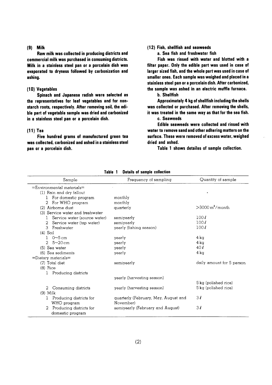#### $(9)$  Milk

Raw milk was collected in producing districts and commercial milk was purchased in consuming districts. Milk in a stainless steel pan or a porcelain dish was evaporated to dryness followed by carbonization and ashing.

#### (10) Vegetables

Spinach and Japanese radish were selected as the representatives for leaf vegetables and for nonstarch roots, respectively. After removing soil, the edible part of vegetable sample was dried and carbonized in a stainless steel pan or a porcelain dish.

#### $(11)$  Tea

Five hundred grams of manufactured green tea was collected, carbonized and ashed in a stainless steel pan or a porcelain dish.

#### (12) Fish, shellfish and seaweeds

a. Sea fish and freshwater fish

Fish was rinsed with water and blotted with a filter paper. Only the edible part was used in case of larger sized fish, and the whole part was used in case of smaller ones. Each sample was weighed and placed in a stainless steel pan or a porcelain dish. After carbonized, the sample was ashed in an electric muffle furnace.

**b.** Shellfish

Approximately 4 kg of shellfish including the shells was collected or purchased. After removing the shells, it was treated in the same way as that for the sea fish. c. Seaweeds

Edible seaweeds were collected and rinsed with water to remove sand and other adhering matters on the surface. These were removed of excess water, weighed dried and ashed.

Table 1 shows detailes of sample collection.

| Sample                                                 | Frequency of sampling                             | Quantity of sample             |
|--------------------------------------------------------|---------------------------------------------------|--------------------------------|
| $=$ Environmental materials $=$                        |                                                   |                                |
| (1) Rain and dry fallout                               |                                                   |                                |
| For domestic program                                   | monthly                                           |                                |
| For WHO program<br>2.                                  | monthly                                           |                                |
| (2) Airborne dust                                      | quarterly                                         | $>$ 3000 m <sup>3</sup> /month |
| (3) Service water and freshwater                       |                                                   |                                |
| Service water (source water)                           | semiyearly                                        | 100l                           |
| 2<br>Service water (tap water)                         | semiyearly                                        | 100l                           |
| 3<br>Freshwater                                        | yearly (fishing season)                           | 100l                           |
| $(4)$ Soil                                             |                                                   |                                |
| $0\neg 5$ cm<br>L                                      | yearly                                            | $4 \,\mathrm{k}$ a             |
| $5 - 20$ cm<br>$\mathcal{L}$                           | yearly                                            | 4 ka                           |
| (5) Sea water                                          | yearly                                            | 40l                            |
| (6) Sea sediments                                      | yearly                                            | $4 \text{ kg}$                 |
| $=$ Dietary materials $=$                              |                                                   |                                |
| (7) Total diet                                         | semiyearly                                        | daily amount for 5 person      |
| $(8)$ Rice                                             |                                                   |                                |
| Producing districts                                    |                                                   |                                |
|                                                        | yearly (harvesting season)                        |                                |
|                                                        |                                                   | 5 kg (polished rice)           |
| Consuming districts<br>2                               | yearly (harvesting season)                        | 5 kg (polished rice)           |
| $(9)$ Milk                                             |                                                   |                                |
| Producing districts for<br>$\mathbf{1}$<br>WHO program | quarterly (February, May, August and<br>November) | 3l                             |
| Producing districts for<br>2<br>domestic program       | semiyearly (February and August)                  | 3l                             |

Table 1 Details of sample collection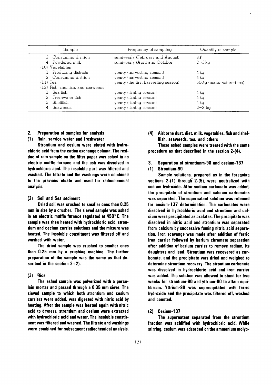| Sample                             | Frequency of sampling                | Quantity of sample      |
|------------------------------------|--------------------------------------|-------------------------|
| 3 Consuming districts              | semiyearly (February and August)     | 3l                      |
| 4 Powdered milk                    | semiyearly (April and October)       | $2\sim 3\,\mathrm{k}$ a |
| $(10)$ Vegetables                  |                                      |                         |
| Producing districts                | yearly (hervesting season)           | 4 ka                    |
| 2 Consuming districts              | yearly (harvesting season)           | $4 \text{ka}$           |
| $(11)$ Tea                         | yearly (the first harvesting season) | 500g (manufactured tea) |
| (12) Fish, shellfish, and seaweeds |                                      |                         |
| Sea fish                           | yearly (fishing season)              | 4 kg                    |
| 2 Freshwater fish                  | yearly (fishing season)              | 4 ka                    |
| 3 Shellfish                        | yearly (fishing season)              | 4 kg                    |
| Seaweeds<br>4                      | yearly (fishing season)              | $2-3$ kg                |

#### Preparation of samples for analysis  $2.$

(1) Rain, service water and freshwater

Strontium and cesium were eluted with hydrochloric acid from the cation exchange column. The residue of rain sample on the filter paper was ashed in an electric muffle furnace and the ash was dissolved in hydrochloric acid. The insoluble part was filtered and washed. The filtrate and the washings were combined to the previous eluate and used for radiochemical analysis.

#### (2) Soil and Sea sediment

Dried soil was crushed to smaller ones than 0.25 mm in size by a crusher. The sieved sample was ashed in an electric muffle furnace regulated at  $450^{\circ}$ C. The sample was then heated with hydrochloric acid, strontium and cecium carrier solutions and the mixture was heated. The insoluble constituent was filtered off and washed with water.

The dried sample was crushed to smaller ones than 0.25 mm by a crushing machine. The further preparation of the sample was the same as that described in the section 2-(2).

#### $(3)$  Rice

The ashed sample was pulverized with a porcelain mortar and passed through a 0.35 mm sieve. The sieved sample to which both strontium and cesium carriers were added, was digested with nitric acid by heating. After the sample was heated again with nitric acid to dryness, strontium and cesium were extracted with hydrochloric acid and water. The insoluble constituent was filtered and washed. The filtrate and washings were combined for subsequent radiochemical analysis. (4) Airborne dust, diet, milk, vegetables, fish and shel-Ifish, seaweeds, tea, and others

These ashed samples were treated with the same procedure as that described in the section 2-(4).

Separation of strontiunm-90 and cesium-137 3.

#### (1) Strontium-90

Sample solutions, prepared as in the foregoing sections 2-(1) through 2-(5), were neutralized with sodium hydroxide. After sodium carbonate was added, the precipitate of strontium and calcium carbonates was separated. The supernatant solution was retained for cesium-137 determination. The carbonates were dissolved in hydrochloric acid and strontium and calcium were precipitated as oxalates. The precipitate was dissolved in nitric acid and strontium was separated from calcium by successive fuming nitric acid separation. Iron scavenge was made after addition of ferric iron carrier followed by barium chromate separation after addition of barium carrier to remove radium, its daughters and lead. Strontium was recovered as carbonate, and the precipitate was dried and weighed to determine strontium recovery. The strontium carbonate was dissolved in hydrochloric acid and iron carrier was added. The solution was allowed to stand for two weeks for strontium-90 and yttrium-90 to attain equilibrium. Yttrium-90 was coprecipitated with ferric hydroxide and the precipitate was filtered off, washed and counted.

#### $(2)$  Cesium-137

The supernatant separated from the strontium fraction was acidified with hydrochloric acid. While stirring, cesium was adsorbed on the ammonium molyb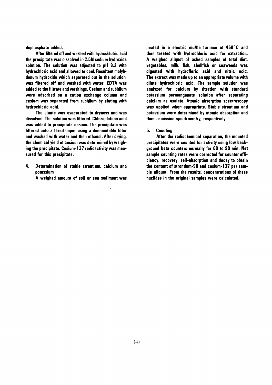dophosphate added.

After filtered off and washed with hydrochlotric acid the precipitate was dissolved in 2.5N sodium hydroxide solution. The solution was adjusted to pH 8.2 with hydrochloric acid and allowed to cool. Resultant molybdenum hydroxide which separated out in the solution. was filtered off and washed with water. EDTA was added to the filtrate and washings. Cesium and rubidium were adsorbed on a cation exchange column and cesium was separated from rubidium by eluting with hydrochloric acid.

The eluate was evaporated to dryness and was dissolved. The solution was filtered. Chloroplatinic acid was added to precipitate cesium. The precipitate was filtered onto a tared paper using a demountable filter and washed with water and then ethanol. After drying, the chemical yield of cesium was determined by weighing the precipitate. Cesium-137 radioactivity was measured for this precipitate.

- 4. Determination of stable strontium, calcium and notassium
	- A weighed amount of soil or sea sediment was

heated in a electric muffle furnace at 450°C and then treated with hydrochloric acid for extraction. A weighed aliguot of ashed samples of total diet. vegetables, milk, fish, shellfish or seaweeds was digested with hydrofloric acid and nitric acid. The extract was made up to an appropriate volume with dilute hydrochloric acid. The sample solution was analyzed for calcium by titration with standard potassium permanganate solution after separating calcium as oxalate. Atomic absorption spectroscopy was applied when appropriate. Stable strontium and potassium were determined by atomic absorption and flame emission spectrometry, respectively.

#### 5. **Counting**

After the radiochemical separation, the mounted precipitates were counted for activity using low background beta counters normally for 60 to 90 min. Net sample counting rates were corrected for counter efficiency, recovery, self-absorption and decay to obtain the content of strontium-90 and cesium-137 per sample aliquot. From the results, concentrations of these nuclides in the original samples were calculated.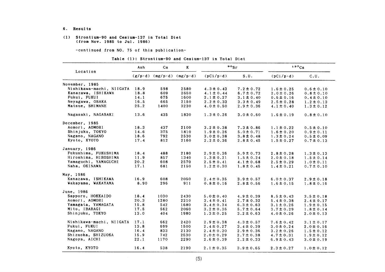6. ResⅦ1ts

#### (1) Strontium-90 and Cesium-137in Total Diet (from Nov. 1985 to Jul. 1986)

-COntinued from NO.75 0f this publication-

|  |  | Table (1): Strontium-90 and Cesium-137 in Total Diet |  |  |
|--|--|------------------------------------------------------|--|--|
|--|--|------------------------------------------------------|--|--|

|                          | Ash  | $ca$ | K<br>$(g/p \cdot d)$ (mg/p $\cdot d$ ) (mg/p $\cdot d$ ) |                  | $\frac{80}{s}$ |                  | 137C <sub>S</sub> |  |
|--------------------------|------|------|----------------------------------------------------------|------------------|----------------|------------------|-------------------|--|
| Location                 |      |      |                                                          | $(pCi/p\cdot d)$ | S.U.           | $(pCi/p\cdot d)$ | C.U.              |  |
| November, 1985           |      |      |                                                          |                  |                |                  |                   |  |
| Nishikawa-machi, NIIGATA | 18.9 | 598  | 2580                                                     | $4.3 \pm 0.43$   | $7.2 \pm 0.72$ | $1.6 \pm 0.25$   | $0.6 \pm 0.10$    |  |
| Kanazawa, ISHIKAWA       | 18.8 | 609  | 2650                                                     | $4.1 \pm 0.44$   | $6.7 \pm 0.72$ | $2.0 \pm 0.26$   | $0.8 \pm 0.10$    |  |
| Fukui, FUKUI             | 14.1 | 675  | 1600                                                     | $2.1 \pm 0.27$   | $3.1 \pm 0.40$ | $0.6 \pm 0.16$   | $0.4 \pm 0.10$    |  |
| Neyagawa, OSAKA          | 16.5 | 665  | 2150                                                     | $2.2 \pm 0.33$   | $3.3 \pm 0.49$ | $2.5 \pm 0.28$   | $1.2 \pm 0.13$    |  |
| Matsue, SHIMANE          | 25.2 | 1400 | 3230                                                     | $4.0 \pm 0.50$   | $2.9 \pm 0.36$ | $4.1 \pm 0.40$   | $1.3 \pm 0.12$    |  |
| Nagasaki, NAGASAKI       | 13.6 | 435  | 1830                                                     | $1.3 \pm 0.26$   | $3.0 \pm 0.60$ | $1.6 \pm 0.19$   | $0.8 \pm 0.10$    |  |
| December, 1985           |      |      |                                                          |                  |                |                  |                   |  |
| Aomori, AOMORI           | 18.3 | 437  | 2100                                                     | $3.2 \pm 0.38$   | $7.3 \pm 0.86$ | $1.1 \pm 0.22$   | $0.5 \pm 0.10$    |  |
| Shinjuku, TOKYO          | 14.6 | 375  | 1810                                                     | $1.9 \pm 0.26$   | $5.0 \pm 0.71$ | $1.6 \pm 0.20$   | $0.9 \pm 0.11$    |  |
| Nagano, NAGANO           | 18.6 | 792  | 2530                                                     | $3.0 \pm 0.38$   | $3.8 \pm 0.48$ | $1.3 \pm 0.24$   | $0.5 \pm 0.09$    |  |
| Kyoto, KYOTO             | 17.4 | 812  | 2160                                                     | $2.2 \pm 0.36$   | $2.8 \pm 0.45$ | $1.5 \pm 0.27$   | $0.7 \pm 0.13$    |  |
| January, 1986            |      |      |                                                          |                  |                |                  |                   |  |
| Fukushima, FUKUSHIMA     | 18.4 | 488  | 2180                                                     | $2.9 \pm 0.36$   | $5.9 \pm 0.73$ | $2.8 \pm 0.28$   | $1.3 \pm 0.13$    |  |
| Hiroshima, HIROSHIMA     | 11.9 | 857  | 1340                                                     | $1.3 \pm 0.21$   | $1.5 \pm 0.24$ | $2.0 \pm 0.18$   | $1.5 \pm 0.14$    |  |
| Yamaguchi, YAMAGUCHI     | 20.2 | 608  | 2570                                                     | $2.5 \pm 0.41$   | $4.1 \pm 0.68$ | $2.5 \pm 0.29$   | $1.0 \pm 0.11$    |  |
| Naha. OKINAWA            | 17.1 | 681  | 2150                                                     | $1.2 \pm 0.30$   | $1.8 \pm 0.45$ | $1.4 \pm 0.21$   | $0.7 \pm 0.10$    |  |
| May, 1986                |      |      |                                                          |                  |                |                  |                   |  |
| Kanazawa, ISHIKAWA       | 16.9 | 608  | 2050                                                     | $2.4 \pm 0.35$   | $3.9 \pm 0.57$ | $6.0 \pm 0.37$   | $2.9 \pm 0.18$    |  |
| Wakayama, WAKAYAMA       | 8.90 | 296  | 911                                                      | $0.8 \pm 0.16$   | $2.8 \pm 0.56$ | $1.6 \pm 0.15$   | $1.8 \pm 0.16$    |  |
| June, 1986               |      |      |                                                          |                  |                |                  |                   |  |
| Sapporo, HOKKAIDO        | 18.4 | 1030 | 2430                                                     | $5.0 \pm 0.40$   | $4.9 \pm 0.39$ | $8.5 \pm 0.43$   | $3.5 \pm 0.18$    |  |
| Aomori, AOMORI           | 20.3 | 1280 | 2210                                                     | $3.4 \pm 0.41$   | $2.7 \pm 0.32$ | $5.4 \pm 0.38$   | $2.4 \pm 0.17$    |  |
| Yamagata, YAMAGATA       | 15.8 | 542  | 1680                                                     | $3.4 \pm 0.34$   | $6.3 \pm 0.63$ | $3.1 \pm 0.26$   | $1.9 \pm 0.15$    |  |
| Mito, IBARAGI            | 17.5 | 562  | 2060                                                     | $3.2 \pm 0.36$   | $5.7 \pm 0.64$ | $3.7 \pm 0.29$   | $1.8 \pm 0.14$    |  |
| Shinjuku, TOKYO          | 13.0 | 404  | 1980                                                     | $1.3 \pm 0.25$   | $3.2 \pm 0.63$ | $4.0 \pm 0.26$   | $2.0 \pm 0.13$    |  |
| Nishikawa-machi, NIIGATA | 17.1 | 662  | 2420                                                     | $2.9 \pm 0.38$   | $4.3 \pm 0.57$ | $7.6 \pm 0.42$   | $3.1 \pm 0.17$    |  |
| Fukui, FUKUI             | 13.8 | 699  | 1500                                                     | $2.4 \pm 0.27$   | $3.4 \pm 0.39$ | $3.0 \pm 0.24$   | $2.0 \pm 0.16$    |  |
| Nagano, NAGANO           | 16.4 | 833  | 2130                                                     | $2.4 \pm 0.30$   | $2.9 \pm 0.36$ | $3.2 \pm 0.26$   | $1.5 \pm 0.12$    |  |
| Shizuoka, SHIZUOKA       | 15.9 | 742  | 2530                                                     | $2.0 \pm 0.29$   | $2.7 \pm 0.38$ | $4.7 \pm 0.31$   | $1.9 \pm 0.12$    |  |
| Nagoya, AICHI            | 22.1 | 1170 | 2290                                                     | $2.6 \pm 0.39$   | $2.2 \pm 0.33$ | $6.9 \pm 0.43$   | $3.0 \pm 0.19$    |  |
| Kyoto, KYOTO             | 16.4 | 538  | 2190                                                     | $2.1 \pm 0.35$   | $3.9 \pm 0.65$ | $2.3 \pm 0.27$   | $1.0 \pm 0.12$    |  |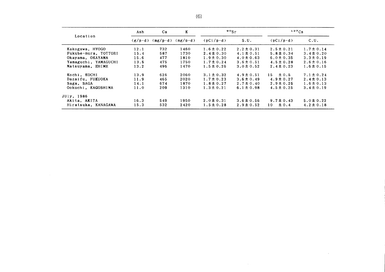|                      | Ash             | Ca  | K<br>$(mg/p \cdot d)$ (mg/p $\cdot d$ ) | 90 <sub>5r</sub>  |                | $137C_S$          |                |
|----------------------|-----------------|-----|-----------------------------------------|-------------------|----------------|-------------------|----------------|
| Location             | $(g/v \cdot d)$ |     |                                         | $(pCi/p \cdot d)$ | S.U.           | $(pCi/p \cdot d)$ | C.U.           |
| Kakogawa, HYOGO      | 12.1            | 732 | 1460                                    | $1.6 \pm 0.22$    | $2.2 \pm 0.31$ | $2.5 \pm 0.21$    | $1.7 \pm 0.14$ |
| Fukube-mura, TOTTORI | 15.4            | 587 | 1730                                    | $2.4 \pm 0.30$    | $4.1 \pm 0.51$ | $5.8 \pm 0.34$    | $3.4 \pm 0.20$ |
| Okayama, OKAYAMA     | 15.6            | 477 | 1810                                    | $1.9 \pm 0.30$    | $4.0 \pm 0.63$ | $6.0 \pm 0.35$    | $3.3 \pm 0.19$ |
| Yamaguchi, YAMAGUCHI | 13.5            | 475 | 1750                                    | $1.7 \pm 0.24$    | $3.6 \pm 0.51$ | $4.5 \pm 0.28$    | $2.6 \pm 0.16$ |
| Matsuyama, EHIME     | 13.2            | 496 | 1470                                    | $1.5 \pm 0.26$    | $3.0 \pm 0.52$ | $2.4 \pm 0.23$    | $1.6 \pm 0.15$ |
| Kochi, KOCHI         | 13.9            | 626 | 2060                                    | $3.1 \pm 0.32$    | $4.9 \pm 0.51$ | $\pm 0.5$<br>15   | $7.1 \pm 0.24$ |
| Dazaifu, FUKUOKA     | 11.9            | 465 | 2020                                    | $1.7 \pm 0.23$    | $3.6 \pm 0.49$ | $4.9 \pm 0.27$    | $2.4 \pm 0.13$ |
| Saga, SAGA           | 14.1            | 674 | 1870                                    | $1.8 \pm 0.27$    | $2.7 \pm 0.40$ | $2.9 \pm 0.25$    | $1.6 \pm 0.13$ |
| Ookuchi. KAGOSHIMA   | 11.0            | 209 | 1310                                    | $1.3 \pm 0.21$    | $6.1 \pm 0.98$ | $4.5 \pm 0.25$    | $3.4 \pm 0.19$ |
| JUly, 1986           |                 |     |                                         |                   |                |                   |                |
| Akita, AKITA         | 16.3            | 549 | 1950                                    | $2.0 \pm 0.31$    | $3.6 \pm 0.56$ | $9.7 \pm 0.43$    | $5.0 \pm 0.22$ |
| Hiratsuka, KANAGAWA  | 15.3            | 532 | 2420                                    | $1.5 \pm 0.28$    | $2.9 \pm 0.52$ | $\pm 0.4$<br>10   | $4.2 \pm 0.18$ |

 $\sim 10^7$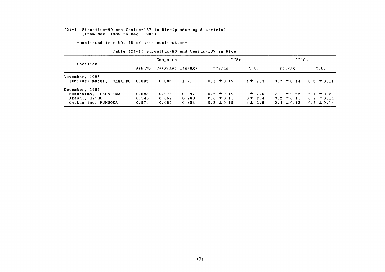#### (2)-1 Strontium-90 &nd Ce8ium-137in Rice(producing district8) (from Nov. 1985 to Dec. 1985)

-COntinued from NO.75 0f this publication-

|  | Table $(2)-1$ : Strontium-90 and Cesium-137 in Rice |  |  |  |
|--|-----------------------------------------------------|--|--|--|
|  |                                                     |  |  |  |

|                                                                                | Component               |                         |                         | $^{90}$ Sr                                         |                                      | $137C_S$                                           |                                                    |
|--------------------------------------------------------------------------------|-------------------------|-------------------------|-------------------------|----------------------------------------------------|--------------------------------------|----------------------------------------------------|----------------------------------------------------|
| Location                                                                       | Ash(X)                  | $Ca(g/Kg)$ $K(g/Kg)$    |                         | pCi/Kg                                             | S.U.                                 | pci/Kg                                             | C.U.                                               |
| November, 1985<br>Ishikari-machi, HOKKAIDO 0.696                               |                         | 0.086                   | 1.21                    | $0.3 \pm 0.19$                                     | $4\pm 2.3$                           | $0.7 \pm 0.14$                                     | $0.6 \pm 0.11$                                     |
| December, 1985<br>Fukushima, FUKUSHIMA<br>Akashi, HYOGO<br>Chikushino, FUKUOKA | 0.688<br>0.540<br>0.574 | 0.072<br>0.062<br>0.059 | 0.997<br>0.783<br>0.883 | $0.2 \pm 0.19$<br>$0.0 \pm 0.15$<br>$0.2 \pm 0.15$ | 3 ± 2.6<br>$0 \pm 2.4$<br>$4\pm 2.6$ | $2.1 \pm 0.22$<br>$0.2 \pm 0.11$<br>$0.4 \pm 0.13$ | $2.1 \pm 0.22$<br>$0.2 \pm 0.14$<br>$0.5 \pm 0.14$ |

 $\sim 10^{11}$  km s  $^{-1}$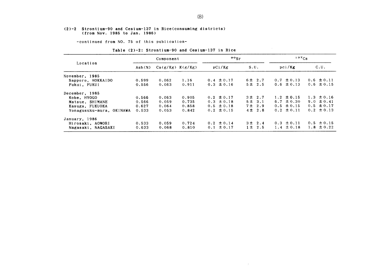#### (2)-2 Strontium-90 and Cesium-137in Rice(COnSuming districts) (from Nov.1985 to Jan.1986)

-COntinued from NO.75 0f this publication-

|                          | Component |                      |       | $90g_r$        |             | $137C_S$          |                |  |
|--------------------------|-----------|----------------------|-------|----------------|-------------|-------------------|----------------|--|
| Location                 | Ash(x)    | $Ca(g/Kg)$ $K(g/Kg)$ |       | pCi/Kg         | S.U.        | pci/Kg            | C.U.           |  |
| November, 1985           |           |                      |       |                |             |                   |                |  |
| Sapporo, HOKKAIDO        | 0.599     | 0.062                | 1.16  | $0.4 \pm 0.17$ | 6 ± 2.7     | $0.7 \pm 0.13$    | $0.6 \pm 0.11$ |  |
| Fukui, FUKUI             | 0.556     | 0.063                | 0.911 | $0.3 \pm 0.16$ | 5 ± 2.5     | $0.6 \pm 0.13$    | $0.6 \pm 0.15$ |  |
| December, 1985           |           |                      |       |                |             |                   |                |  |
| Kobe, HYOGO              | 0.566     | 0.063                | 0.905 | $0.2 \pm 0.17$ | $3 \pm 2.7$ | $1.2 \pm 0.15$    | $1.3 \pm 0.16$ |  |
| Matsue, SHIMANE          | 0.566     | 0.059                | 0.735 | $0.3 \pm 0.18$ | 5 ± 3.1     | $6.7 \pm 0.30$    | $9.0 \pm 0.41$ |  |
| Kasuga, FUKUOKA          | 0.627     | 0.064                | 0.858 | $0.5 \pm 0.18$ | 7 ± 2.9     | $0.5 \pm 0.15$    | $0.5 \pm 0.17$ |  |
| Yonagusuku-mura, OKINAWA | 0.533     | 0.053                | 0.842 | $0.2 \pm 0.15$ | $4 \pm 2.8$ | $0.2 \pm 0.11$    | $0.2 \pm 0.13$ |  |
| January, 1986            |           |                      |       |                |             |                   |                |  |
| Hirosaki, AOMORI         | 0.533     | 0.059                | 0.724 | $0.2 \pm 0.14$ | 3 ± 2.4     | $0.3 \pm 0.11$    | $0.5 \pm 0.15$ |  |
| Nagasaki, NAGASAKI       | 0.633     | 0.068                | 0.810 | $0.1 \pm 0.17$ | $1 \pm 2.5$ | $\pm$ 0.18<br>1.4 | 1.8 $\pm$ 0.22 |  |

 $\sim 10^7$ 

Table (2)-2: Strontium-90 and Cesium-137 in Rice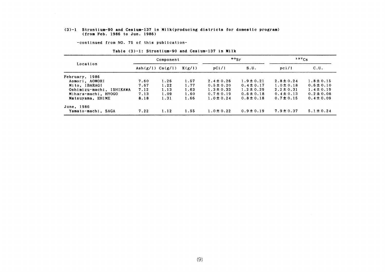#### (3)-1 Strontium-90 and Cesium-137 in Milk(producing districts for domestic program) (from Feb. 1986 to Jun. 1986)

-COntinued from NO.75 0f this publication-

|                          | Component              |      |        |                | $\frac{80}{5}$ | $137C_S$       |                |
|--------------------------|------------------------|------|--------|----------------|----------------|----------------|----------------|
| Location                 | Ash $(g/1)$ Ca $(g/1)$ |      | K(g/1) | pCi/1          | S.U.           | pci/l          | C.U.           |
| February, 1986           |                        |      |        |                |                |                |                |
| Aomori, AOMORI           | 7.60                   | 1.26 | 1.57   | $2.4 \pm 0.26$ | $1.9 \pm 0.21$ | $2.8 \pm 0.24$ | $1.8 \pm 0.15$ |
| Mito, IBARAGI            | 7.67                   | 1.22 | 1.77   | $0.5 \pm 0.20$ | $0.4 \pm 0.17$ | $1.0 \pm 0.18$ | $0.6 \pm 0.10$ |
| Oshimizu-machi, ISHIKAWA | 7.12                   | 1.13 | 1.63   | $1.3 \pm 0.33$ | $1.2 \pm 0.29$ | $2.2 \pm 0.31$ | $1.4 \pm 0.19$ |
| Mihara-machi, HYOGO      | 7.13                   | 1.09 | 1.60   | $0.7 \pm 0.19$ | $0.6 \pm 0.18$ | $0.4 \pm 0.13$ | $0.2 \pm 0.08$ |
| Matsuyama, EHIME         | 8.18                   | 1.31 | 1.66   | $1.0 \pm 0.24$ | $0.8 \pm 0.18$ | $0.7 \pm 0.15$ | $0.4 \pm 0.09$ |
| June, 1986               |                        |      |        |                |                |                |                |
| Yamato-machi, SAGA       | 7.22                   | 1.12 | 1.55   | $1.0 \pm 0.22$ | $0.9 \pm 0.19$ | $7.9 \pm 0.37$ | $5.1 \pm 0.24$ |

#### Table (3)-1: Strontium-90 and Cesium-137 in Milk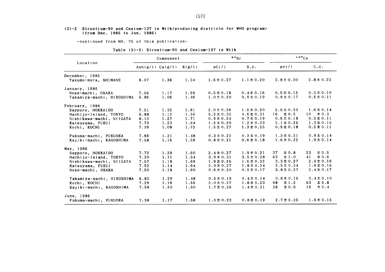#### (3)一2 Strontium-90 and Cesium-137in Milk(producing districts for WHO program) (from Dec. 1985 to Jun. 1986)

-COntinued from NO.75 0f this publication-

#### Table  $(3)-2$ : Strontium-90 and Cesium-137 in Milk

|                           |                        | Component |        | $\circ$ $\circ$ Sr |                | $137C_S$        |                |  |
|---------------------------|------------------------|-----------|--------|--------------------|----------------|-----------------|----------------|--|
| Location                  | Ash $(g/1)$ Ca $(g/1)$ |           | K(g/1) | pCi/1              | S.U.           | pci/l           | C.U.           |  |
| December, 1985            |                        |           |        |                    |                |                 |                |  |
| Yakumo-mura, SHIMANE      | 8.07                   | 1.36      | 1.34   | $1.6 \pm 0.27$     | $1.1 \pm 0.20$ | $3.8 \pm 0.30$  | $2.8 \pm 0.22$ |  |
| January, 1986             |                        |           |        |                    |                |                 |                |  |
| Nose-machi, OSAKA         | 7.56                   | 1.17      | 1.56   | $0.5 \pm 0.19$     | $0.4 \pm 0.16$ | $0.5 \pm 0.15$  | $0.3 \pm 0.10$ |  |
| Takamiya-machi, HIROSHIMA | 6.86                   | 1.06      | 1.46   | $1.0 \pm 0.20$     | $0.9 \pm 0.19$ | $0.8 \pm 0.17$  | $0.5 \pm 0.11$ |  |
| February, 1986            |                        |           |        |                    |                |                 |                |  |
| Sapporo, HOKKAIDO         | 7.51                   | 1.32      | 1.61   | $2.0 \pm 0.26$     | $1.5 \pm 0.20$ | $2.5 \pm 0.23$  | $1.6 \pm 0.14$ |  |
| Hachijo-Island, TOKYO     | 6.88                   | 1.12      | 1.56   | $5.2 \pm 0.35$     | $4.6 \pm 0.31$ | $16 \pm 0.5$    | $10 \pm 0.3$   |  |
| Nishikawa-machi, NIIGATA  | 8.10                   | 1.27      | 1.71   | $0.9 \pm 0.24$     | $0.7 \pm 0.19$ | $0.6 \pm 0.18$  | $0.3 \pm 0.11$ |  |
| Katsuyama, FUKUI          | 7.73                   | 1.23      | 1.64   | $1.5 \pm 0.29$     | $1.2 \pm 0.23$ | $2.1 \pm 0.25$  | $1.3 \pm 0.15$ |  |
| Kochi, KOCHI              | 7.39                   | 1.09      | 1.72   | $1.5 \pm 0.27$     | $1.3 \pm 0.25$ | $0.9 \pm 0.18$  | $0.5 \pm 0.11$ |  |
| Fukuma-machi, FUKUOKA     | 7.66                   | 1.21      | 1.48   | $0.3 \pm 0.22$     | $0.3 \pm 0.19$ | $1.3 \pm 0.21$  | $0.9 \pm 0.14$ |  |
| Kajiki-machi, KAGOSHIMA   | 7.58                   | 1.16      | 1.59   | $0.8 \pm 0.21$     | $0.6 \pm 0.18$ | $1.6 \pm 0.22$  | $1.0 \pm 0.14$ |  |
| May. 1986                 |                        |           |        |                    |                |                 |                |  |
| Sapporo, HOKKAIDO         | 7.72                   | 1.29      | 1.60   | $2.4 \pm 0.27$     | $1.9 \pm 0.21$ | ± 0.8<br>37     | 23<br>± 0.5    |  |
| Hachijo-Island, TOKYO     | 7.20                   | 1.11      | 1.54   | $3.9 \pm 0.31$     | $3.5 \pm 0.28$ | $\pm 1.0$<br>63 | ± 0.6<br>41    |  |
| Nishikawa-machi, NIIGATA  | 7.57                   | 1.18      | 1.69   | $1.9 \pm 0.26$     | $1.6 \pm 0.22$ | $3.3 \pm 0.27$  | $2.0 \pm 0.16$ |  |
| Katsuyama, FUKUI          | 7.52                   | 1.14      | 1.64   | $2.0 \pm 0.27$     | $1.8 \pm 0.24$ | $2.5 \pm 0.24$  | $1.6 \pm 0.15$ |  |
| Nose-machi, OSAKA         | 7.50                   | 1.18      | 1.60   | $0.6 \pm 0.20$     | $0.5 \pm 0.17$ | $3.8 \pm 0.27$  | $2.4 \pm 0.17$ |  |
| Takamiya-machi, HIROSHIMA | 6.83                   | 1.29      | 1.48   | $0.5 \pm 0.19$     | $0.4 \pm 0.14$ | $0.6 \pm 0.15$  | $0.4 \pm 0.10$ |  |
| Kochi, KOCHI              | 7.29                   | 1.16      | 1.55   | $2.0 \pm 0.27$     | $1.8 \pm 0.23$ | ±1.2<br>98      | ± 0.8<br>63    |  |
| Kajiki-machi, KAGOSHIMA   | 7.58                   | 1.20      | 1.60   | $1.7 \pm 0.26$     | $1.4 \pm 0.21$ | ± 0.6<br>26     | ± 0.4<br>16    |  |
| June, 1986                |                        |           |        |                    |                |                 |                |  |
| Fukuma-machi, FUKUOKA     | 7.38                   | 1.17      | 1.68   | $1.0 \pm 0.23$     | $0.8 \pm 0.19$ | $2.7 \pm 0.25$  | $1.6 \pm 0.15$ |  |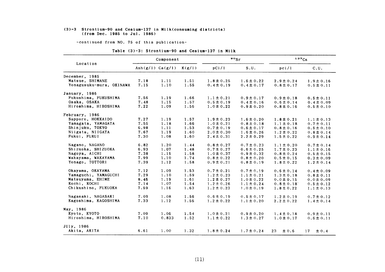#### $(3)-3$  Strontium-90 and Cesium-137 in Milk(consuming districts) (from Dee.1985 to JⅦl.1986)

-COntinued from NO.75 0f this publication-

#### Table (3)-3: Strontium-90 and Cesium-137 in Milk

|                          |                        | Component |        |                | $\frac{80}{5}$ | 137Cs          |                 |  |
|--------------------------|------------------------|-----------|--------|----------------|----------------|----------------|-----------------|--|
| Location                 | Ash $(g/1)$ Ca $(g/1)$ |           | K(g/1) | pCi/1          | S.U.           | pci/l          | C.U.            |  |
| December, 1985           |                        |           |        |                |                |                |                 |  |
| Matsue, SHIMANE          | 7.18                   | 1.11      | 1.51   | $1.8 \pm 0.25$ | $1.6 \pm 0.22$ | $2.9 \pm 0.24$ | $1.9 \pm 0.16$  |  |
| Yonagusuku-mura, OKINAWA | 7.15                   | 1.10      | 1.55   | $0.4 \pm 0.19$ | $0.4 \pm 0.17$ | $0.8 \pm 0.17$ | $0.5 \pm 0.11$  |  |
| January, 1986            |                        |           |        |                |                |                |                 |  |
| Fukushima, FUKUSHIMA     | 7.56                   | 1.19      | 1.66   | $1.1 \pm 0.21$ | $0.9 \pm 0.17$ | $0.9 \pm 0.18$ | $0.5 \pm 0.11$  |  |
| Osaka, OSAKA             | 7.48                   | 1.15      | 1.57   | $0.5 \pm 0.19$ | $0.4 \pm 0.16$ | $0.6 \pm 0.14$ | $0.4 \pm 0.09$  |  |
| Hiroshima, HIROSHIMA     | 7.22                   | 1.09      | 1.56   | $1.0 \pm 0.22$ | $0.9 \pm 0.20$ | $0.8 \pm 0.16$ | $0.5 \pm 0.10$  |  |
| February, 1986           |                        |           |        |                |                |                |                 |  |
| Sapporo, HOKKAIDO        | 7.27                   | 1.19      | 1.57   | $1.9 \pm 0.23$ | $1.6 \pm 0.20$ | $1.8 \pm 0.21$ | $1.1 \pm 0.13$  |  |
| Yamagata, YAMAGATA       | 7.55                   | 1.18      | 1.66   | $1.0 \pm 0.21$ | $0.8 \pm 0.18$ | $1.1 \pm 0.18$ | $0.7 \pm 0.11$  |  |
| Shinjuku, TOKYO          | 6.98                   | 1.11      | 1.53   | $0.7 \pm 0.19$ | $0.6 \pm 0.17$ | $0.8 \pm 0.16$ | $0.5 \pm 0.10$  |  |
| Niigata, NIIGATA         | 7.67                   | 1.19      | 1.60   | $2.0 \pm 0.30$ | $1.6 \pm 0.26$ | $1.2 \pm 0.22$ | $0.8 \pm 0.14$  |  |
| Fukui, FUKUI             | 7.30                   | 1.08      | 1.60   | $2.4 \pm 0.31$ | $2.2 \pm 0.29$ | $1.5 \pm 0.22$ | $0.9 \pm 0.14$  |  |
| Nagano, NAGANO           | 6.82                   | 1.20      | 1.44   | $0.8 \pm 0.27$ | $0.7 \pm 0.23$ | $1.1 \pm 0.20$ | $0.7 \pm 0.14$  |  |
| Shizuoka, SHIZUOKA       | 6.93                   | 1.07      | 1.48   | $0.7 \pm 0.27$ | $0.6 \pm 0.25$ | $1.7 \pm 0.23$ | $1.1 \pm 0.16$  |  |
| Nagoya, AICHI            | 7.38                   | 1.15      | 1.58   | $1.0 \pm 0.37$ | $0.9 \pm 0.32$ | $0.8 \pm 0.24$ | $0.5 \pm 0.15$  |  |
| Wakayama, WAKAYAMA       | 7.99                   | 1.10      | 1.74   | $0.8 \pm 0.22$ | $0.8 \pm 0.20$ | $0.5 \pm 0.15$ | $0.3 \pm 0.09$  |  |
| Yonago, TOTTORI          | 7.39                   | 1.12      | 1.58   | $0.9 \pm 0.21$ | $0.8 \pm 0.19$ | $1.8 \pm 0.22$ | $1.2 \pm 0.14$  |  |
| Okayama, OKAYAMA         | 7.12                   | 1.09      | 1.53   | $0.7 \pm 0.21$ | $0.7 \pm 0.19$ | $0.6 \pm 0.14$ | $0.4 \pm 0.09$  |  |
| Yamaguchi, YAMAGUCHI     | 7.29                   | 1.10      | 1.59   | $1.2 \pm 0.23$ | $1.1 \pm 0.21$ | $1.3 \pm 0.18$ | $0.8 \pm 0.11$  |  |
| Matsuyama, EHIME         | 8.46                   | 1.19      | 1.61   | $1.2 \pm 0.27$ | $1.0 \pm 0.22$ | $0.0 \pm 0.15$ | $0.0 \pm 0.09$  |  |
| Kochi, KOCHI             | 7.14                   | 1.07      | 1.54   | $1.2 \pm 0.26$ | $1.1 \pm 0.24$ | $0.8 \pm 0.18$ | $0.5 \pm 0.12$  |  |
| Chikushino, FUKUOKA      | 7.59                   | 1.16      | 1.63   | $1.2 \pm 0.23$ | $1.0 \pm 0.19$ | $1.8 \pm 0.22$ | $1.1 \pm 0.13$  |  |
| Nagasaki, NAGASAKI       | 7.09                   | 1.08      | 1.56   | $0.6 \pm 0.19$ | $0.5 \pm 0.17$ | $1.2 \pm 0.19$ | $0.7 \pm 0.12$  |  |
| Kagoshima, KAGOSHIMA     | 7.33                   | 1.12      | 1.56   | $1.2 \pm 0.22$ | $1.1 \pm 0.20$ | $2.2 \pm 0.22$ | $1.4 \pm 0.14$  |  |
| May, 1986                |                        |           |        |                |                |                |                 |  |
| Kyoto, KYOTO             | 7.09                   | 1.06      | 1.54   | $1.0 \pm 0.21$ | $0.9 \pm 0.20$ | $1.4 \pm 0.18$ | $0.9 \pm 0.11$  |  |
| Hiroshima, HIROSHIMA     | 7.10                   | 0.833     | 1.52   | $1.1 \pm 0.22$ | $1.3 \pm 0.27$ | $1.0 \pm 0.17$ | $0.6 \pm 0.11$  |  |
| JUly, 1986               |                        |           |        |                |                |                |                 |  |
| Akita, AKITA             | 6.61                   | 1.00      | 1.32   | $1.8 \pm 0.24$ | $1.7 \pm 0.24$ | 23<br>±0.6     | 17<br>$\pm 0.4$ |  |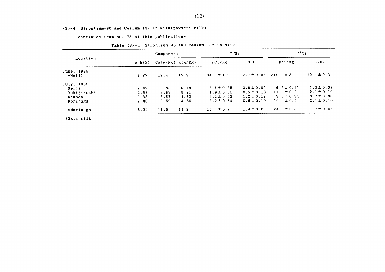#### $(3)-4$  Strontium-90 and Cesium-137 in Milk(powderd milk)

-COntinued from NO.75 0f this publication-

|             |           | Component |                      | $\frac{80}{5}$   |                | $137C_S$         |                 |
|-------------|-----------|-----------|----------------------|------------------|----------------|------------------|-----------------|
| Location    | Ash $(x)$ |           | $Ca(g/Kg)$ $K(g/Kg)$ | pCi/Kg           | S.U.           | pci/Kg           | C.U.            |
| June, 1986  |           |           |                      |                  |                |                  |                 |
| *Meiji      | 7.77      | 12.4      | 15.9                 | $\pm 1.0$<br>34  | $2.7 \pm 0.08$ | ±3<br>310        | $\pm 0.2$<br>19 |
| JUly, 1986  |           |           |                      |                  |                |                  |                 |
| Meiji       | 2.49      | 3.83      | 5.18                 | $2.1 \pm 0.35$   | $0.6 \pm 0.09$ | $6.6 \pm 0.41$   | $1.3 \pm 0.08$  |
| Yukijirushi | 2.58      | 3.53      | 5.21                 | $1.9 \pm 0.35$   | $0.5 \pm 0.10$ | $\pm$ 0.5<br>11  | $2.1 \pm 0.10$  |
| Wakodo      | 2.38      | 3.57      | 4.83                 | $4.2 \pm 0.43$   | $1.2 \pm 0.12$ | $3.5 \pm 0.31$   | $0.7 \pm 0.06$  |
| Morinaga    | 2.40      | 3.50      | 4.80                 | $2.2 \pm 0.34$   | $0.6 \pm 0.10$ | $\pm 0.5$<br>10. | $2.1 \pm 0.10$  |
| *Morinaga   | 8.04      | 11.6      | 14.2                 | $\pm 0.7$<br>16. | $1.4 \pm 0.06$ | $\pm 0.8$<br>24  | $1.7 \pm 0.05$  |

 $\sim 10^{-11}$ 

#### Table (3)-4: Strontium-90 and Cesium-137 in Milk

 $\sim 10^{-1}$ 

 $\Delta$ 

\*Skim milk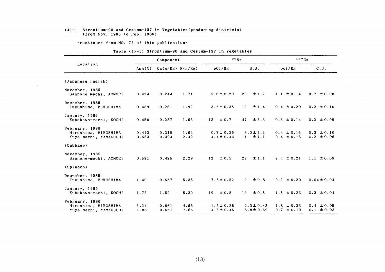#### (4)-1 Strontium-90 and Cesium-137in Yegetables(producing district8) (from Nov.1985 to Feb.1986)

-COntinued from NO.75 0f this publication-

|                                                                 |                                       | Component            |              | $\cdot \cdot$                    |                                  | 137Cs                            |                                  |  |
|-----------------------------------------------------------------|---------------------------------------|----------------------|--------------|----------------------------------|----------------------------------|----------------------------------|----------------------------------|--|
| Location                                                        | $\text{Ash}(\boldsymbol{\mathsf{x}})$ | $Ca(g/Kg)$ $K(g/Kg)$ |              | pCi/Kg                           | S.U.                             | pci/Kg                           | C.U.                             |  |
| (Japanese radish)                                               |                                       |                      |              |                                  |                                  |                                  |                                  |  |
| November, 1985<br>Sannohe-machi, AOMORI                         | 0.424                                 | 0.244                | 1.71         | $5.6 \pm 0.29$                   | 23<br>$\pm 1.2$                  | $1.1 \pm 0.14$                   | $0.7 \pm 0.08$                   |  |
| December, 1985<br>Fukushima, FUKUSHIMA                          | 0.489                                 | 0.261                | 1.92         | $3.2 \pm 0.36$                   | 12<br>$\pm$ 1.4                  | $0.4 \pm 0.20$                   | $0.2 \pm 0.10$                   |  |
| January, 1986<br>Kubokawa-machi, KOCHI                          | 0.450                                 | 0.287                | 1.66         | 13<br>± 0.7                      | 47<br>$\pm 2.3$                  | $0.3 \pm 0.14$                   | $0.2 \pm 0.09$                   |  |
| February, 1986<br>Hiroshima, HIROSHIMA<br>Yuya-machi, YAMAGUCHI | 0.413<br>0.653                        | 0.219<br>0.394       | 1.62<br>2.42 | $0.7 \pm 0.26$<br>$4.4 \pm 0.44$ | $3.0 \pm 1.2$<br>±1.1<br>11      | $0.4 \pm 0.16$<br>$0.4 \pm 0.15$ | $0.3 \pm 0.10$<br>$0.2 \pm 0.06$ |  |
| (Cabbage)                                                       |                                       |                      |              |                                  |                                  |                                  |                                  |  |
| November, 1985<br>Sannohe-machi, AOMORI                         | 0.591                                 | 0.425                | 2.29         | ± 0.5<br>12                      | 27<br>±1.1                       | $2.4 \pm 0.21$                   | $1.1 \pm 0.09$                   |  |
| (Spinach)                                                       |                                       |                      |              |                                  |                                  |                                  |                                  |  |
| December, 1985<br>Fukushima, FUKUSHIMA                          | 1.40                                  | 0.657                | 5.35         | $7.8 \pm 0.52$                   | 12 <sup>7</sup><br>$\pm 0.8$     | $0.2 \pm 0.20$                   | $0.04 \pm 0.04$                  |  |
| January, 1986<br>Kubokawa-machi, KOCHI                          | 1.72                                  | 1.52                 | 5.39         | 19<br>$\pm 0.8$                  | $\pm 0.5$<br>13                  | $1.5 \pm 0.23$                   | $0.3 \pm 0.04$                   |  |
| February, 1986<br>Hiroshima, HIROSHIMA<br>Yuya-machi, YAMAGUCHI | 1.24<br>1.88                          | 0.661<br>0.661       | 4.66<br>7.66 | $1.5 \pm 0.28$<br>$4.5 \pm 0.45$ | $2.3 \pm 0.42$<br>$6.8 \pm 0.69$ | $1.8 \pm 0.23$<br>$0.7 \pm 0.19$ | $0.4 \pm 0.05$<br>$0.1 \pm 0.03$ |  |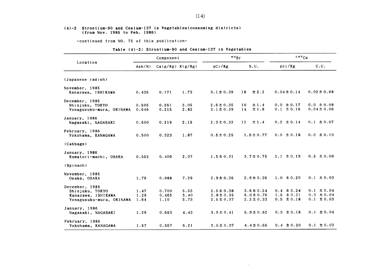#### (4)-2 Strontium-90 &nd Cesium-137in Yegetables(COnSuming districts) (from Nov.1985 to Feb.1986)

-COntinued from NO.75 0f this publication-

| Table (4)-2: Strontium-90 and Cesium-137 in Vegetables |  |  |  |  |
|--------------------------------------------------------|--|--|--|--|
|--------------------------------------------------------|--|--|--|--|

 $\sim 10^{-11}$ 

|                                                                                     |                      | Component              |                      | $\frac{80}{s}$                                     |                                                    | 137C <sub>S</sub>                                  |                                                    |
|-------------------------------------------------------------------------------------|----------------------|------------------------|----------------------|----------------------------------------------------|----------------------------------------------------|----------------------------------------------------|----------------------------------------------------|
| Location                                                                            | Ash(X)               | $Ca(g/Kg)$ $K(g/Kg)$   |                      | pCi/Kg                                             | S.U.                                               | pci/Kg                                             | C.U.                                               |
| (Japanese radish)                                                                   |                      |                        |                      |                                                    |                                                    |                                                    |                                                    |
| November, 1985<br>Kanazawa, ISHIKAWA                                                | 0.436                | 0.171                  | 1.73                 | $3.1 \pm 0.39$                                     | $\pm 2.3$<br>18                                    | $0.04 \pm 0.14$                                    | $0.02 \pm 0.08$                                    |
| December, 1985<br>Shinjuku, TOKYO<br>Yonagusuku-mura, OKINAWA                       | 0.505<br>0.646       | 0.251<br>0.215         | 2.05<br>2.82         | $2.6 \pm 0.35$<br>$3.1 \pm 0.39$                   | ±1.4<br>10<br>±1.8<br>14                           | $0.0 \pm 0.17$<br>$0.1 \pm 0.16$                   | $0.0 \pm 0.08$<br>$0.04 \pm 0.06$                  |
| January, 1986<br>Nagasaki, NAGASAKI                                                 | 0.500                | 0.219                  | 2.15                 | $2.3 \pm 0.32$                                     | 11<br>±1.4                                         | $0.2 \pm 0.14$                                     | $0.1 \pm 0.07$                                     |
| February, 1986<br>Yokohama, KANAGAWA                                                | 0.500                | 0.323                  | 1.87                 | $0.5 \pm 0.25$                                     | $1.5 \pm 0.77$                                     | $0.0 \pm 0.18$                                     | $0.0 \pm 0.10$                                     |
| (Cabbage)                                                                           |                      |                        |                      |                                                    |                                                    |                                                    |                                                    |
| January, 1986<br>Kumatori-machi, OSAKA                                              | 0.562                | 0.409                  | 2.07                 | $1.5 \pm 0.31$                                     | $3.7 \pm 0.75$                                     | $1.1 \pm 0.19$                                     | $0.5 \pm 0.09$                                     |
| (Spinach)                                                                           |                      |                        |                      |                                                    |                                                    |                                                    |                                                    |
| November, 1985<br>Osaka, OSAKA                                                      | 1.79                 | 0.988                  | 7.29                 | $2.9 \pm 0.36$                                     | $2.9 \pm 0.36$                                     | $1.0 \pm 0.20$                                     | $0.1 \pm 0.03$                                     |
| December, 1985<br>Shinjuku, TOKYO<br>Kanazawa, ISHIKAWA<br>Yonagusuku-mura, OKINAWA | 1.47<br>1.29<br>1.64 | 0.700<br>0.465<br>1.10 | 5.55<br>5.40<br>5.73 | $2.5 \pm 0.38$<br>$2.8 \pm 0.35$<br>$2.5 \pm 0.37$ | $3.6 \pm 0.54$<br>$6.0 \pm 0.76$<br>$2.2 \pm 0.33$ | $0.4 \pm 0.24$<br>$1.5 \pm 0.21$<br>$0.5 \pm 0.18$ | $0.1 \pm 0.04$<br>$0.3 \pm 0.04$<br>$0.1 \pm 0.03$ |
| January, 1986<br>Nagasaki, NAGASAKI                                                 | 1.29                 | 0.653                  | 4.43                 | $3.9 \pm 0.41$                                     | $5.9 \pm 0.62$                                     | $0.3 \pm 0.18$                                     | $0.1 \pm 0.04$                                     |
| February, 1986<br>Yokohama, KANAGAWA                                                | 1.57                 | 0.557                  | 6.21                 | $2.5 \pm 0.37$                                     | $4.4 \pm 0.66$                                     | $0.4 \pm 0.20$                                     | $0.1 \pm 0.03$                                     |

 $\sim 100$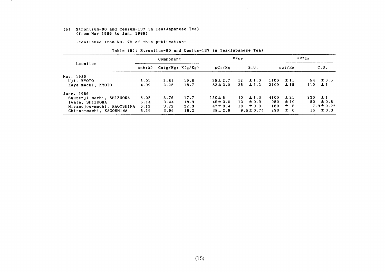#### (5) Strontium-90 &nd Cesium-137in Tea(Japane8e Tea) (from May 1986 to Jun. 1986)

 $\Delta$ 

-COntinued from NO.73 0f this publication-

|                            | Component       |                      |      | 90 <sub>5r</sub> |        |                | $137C_S$ |        |     |                |
|----------------------------|-----------------|----------------------|------|------------------|--------|----------------|----------|--------|-----|----------------|
| Location                   | $\text{Ash}(x)$ | $Ca(g/Kg)$ $K(g/Kg)$ |      | pCi/Kg           |        | S.U.           |          | pci/Kg |     | C.U.           |
| May, 1986                  |                 |                      |      |                  |        |                |          |        |     |                |
| Uji, KYOTO                 | 5.01            | 2.84                 | 19.8 | $35 \pm 2.7$     | 12     | $\pm 1.0$      | 1100     | ±11    | 54  | $\pm 0.6$      |
| Kaya-machi, KYOTO          | 4.99            | 3.25                 | 18.7 | $82 \pm 3.9$     | 25     | $\pm$ 1.2      | 2100     | ±15    | 110 | ±1             |
| June, 1986                 |                 |                      |      |                  |        |                |          |        |     |                |
| Shuzenji-machi, SHIZUOKA   | 5.02            | 3.76                 | 17.7 | $150 \pm 5$      | 40.    | $\pm$ 1.3      | 4100     | ±21    | 230 | ±1             |
| Iwata, SHIZUOKA            | 5.14            | 3.44                 | 18.9 | $45 \pm 3.0$     | 13.    | $\pm 0.9$      | 950      | ±10    | 50  | $\pm 0.5$      |
| Miyanojou-machi, KAGOSHIMA | 6.12            | 3.72                 | 22.3 | $47 \pm 3.4$     | $13 -$ | $\pm 0.9$      | 180      | ±5     |     | $7.9 \pm 0.22$ |
| Chiran-machi, KAGOSHIMA    | 5.19            | 3.96                 | 18.2 | $38 \pm 2.9$     |        | $9.5 \pm 0.74$ | 290      | ± 6    | 16  | $\pm$ 0.3      |

A.

#### Table (5): Strontium-90 and Cesium-137 in Tea(Japanese Tea)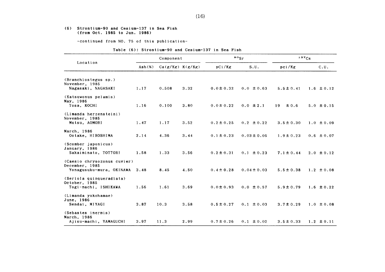#### (6) Strontium-90 and Cesium-137in Sea Fish (from Oet.1985 to Jun.1986)

-COntinued from NO.75 0f this publication-

|  |  | Table (6): Strontium-90 and Cesium-137 in Sea Fish |  |
|--|--|----------------------------------------------------|--|
|--|--|----------------------------------------------------|--|

|                                                                           | Component |                      |      | $\frac{90}{s}$ r | 137Cs           |                 |                |
|---------------------------------------------------------------------------|-----------|----------------------|------|------------------|-----------------|-----------------|----------------|
| Location                                                                  | Ash(X)    | $Ca(g/Kg)$ $K(g/Kg)$ |      | pCi/Kg           | S.U.            | pci/Kg          | C.U.           |
| (Branchiostegus sp.)<br>November, 1985                                    |           |                      |      |                  |                 |                 |                |
| Nagasaki, NAGASAKI                                                        | 1.17      | 0.508                | 3.32 | $0.0 \pm 0.32$   | $0.0 \pm 0.63$  | $5.5 \pm 0.41$  | $1.6 \pm 0.12$ |
| (Katsuwonus pelamis)<br>May, 1986<br>Tosa, KOCHI                          | 1.16      | 0.100                | 3.80 | $0.0 \pm 0.22$   | $0.0 \pm 2.1$   | 19<br>$\pm 0.6$ | $5.0 \pm 0.15$ |
|                                                                           |           |                      |      |                  |                 |                 |                |
| (Limanda herzensteini)<br>November, 1985<br>Mutsu, AOMORI                 | 1.47      | 1.17                 | 3.52 | $0.2 \pm 0.25$   | $0.2 \pm 0.22$  | $3.5 \pm 0.30$  | $1.0 \pm 0.09$ |
| March, 1986<br>Ootake, HIROSHIMA                                          | 2.14      | 4.36                 | 3.44 | $0.1 \pm 0.23$   | $0.03 \pm 0.05$ | $1.9 \pm 0.23$  | $0.6 \pm 0.07$ |
| (Scomber japonicus)<br>January, 1986<br>Sakaiminato, TOTTORI              | 1.58      | 1.33                 | 3.56 | $0.2 \pm 0.31$   | $0.1 \pm 0.23$  | $7.1 \pm 0.44$  | $2.0 \pm 0.12$ |
|                                                                           |           |                      |      |                  |                 |                 |                |
| (Caesio chrysozonus cuvier)<br>December, 1985<br>Yonagusuku-mura, OKINAWA | 3.48      | 8.45                 | 4.50 | $0.4 \pm 0.28$   | $0.04 \pm 0.03$ | $5.5 \pm 0.38$  | $1.2 \pm 0.08$ |
| (Seriola quinqueradiata)<br>October, 1985                                 |           |                      |      |                  |                 |                 |                |
| Togi-machi, ISHIKAWA                                                      | 1.56      | 1.61                 | 3.69 | $0.0 \pm 0.93$   | $0.0 \pm 0.57$  | $5.9 \pm 0.79$  | $1.6 \pm 0.22$ |
| (Limanda yokohamae)<br>June, 1986<br>Sendai, MIYAGI                       | 3.87      | 10.3                 | 3.58 | $0.5 \pm 0.27$   | $0.1 \pm 0.03$  | $3.7 \pm 0.29$  | $1.0 \pm 0.08$ |
| (Sebastes inermis)<br>March, 1986                                         |           |                      |      |                  |                 |                 |                |
| Ajisu-machi, YAMAGUCHI                                                    | 3.97      | 11.3                 | 2.99 | $0.7 \pm 0.26$   | $0.1 \pm 0.02$  | $3.5 \pm 0.33$  | $1.2 \pm 0.11$ |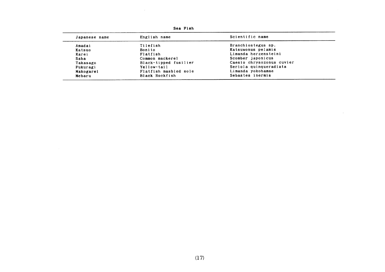| Japanese name | English name          | Scientific name           |
|---------------|-----------------------|---------------------------|
| Amadai        | Tilefish              | Branchiostegus sp.        |
| Katsuo        | Bonito                | Katsuwonus pelamis        |
| Karei         | Flatfish              | Limanda herzensteini      |
| Saba          | Common mackerel       | Scomber japonicus         |
| Takasago      | Black-tipped fusilier | Caesio chrysozonus cuvier |
| Fukuragi      | Yellow-tail           | Seriola quinqueradiata    |
| Makogarei     | Flatfish masbled sole | Limanda yokohamae         |
| Mebaru        | Black Rockfish        | Sebastes inermis          |

 $\sim 10^7$ 

Sea Fish

 $\sim 100$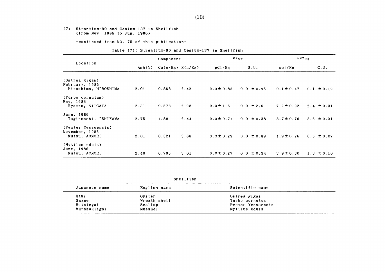#### (7) Strontium-90 and Cesium-137in Shellfish (from Nov. 1985 to Jun. 1986)

-COntinued from NO.75 0f this publication-

|  |  | Table (7): Strontium-90 and Cesium-137 in Shellfish |  |  |  |  |  |
|--|--|-----------------------------------------------------|--|--|--|--|--|
|--|--|-----------------------------------------------------|--|--|--|--|--|

|                                        | Component |                      |      |                | $^{90}$ Sr     | $137C_S$       |                |  |
|----------------------------------------|-----------|----------------------|------|----------------|----------------|----------------|----------------|--|
| Location                               | Ash(X)    | $Ca(g/Kg)$ $K(g/Kg)$ |      | pCi/Kg         | S.U.           | pci/Kg         | C.U.           |  |
| (Ostrea gigas)                         |           |                      |      |                |                |                |                |  |
| February, 1986<br>Hiroshima, HIROSHIMA | 2.01      | 0.868                | 2.42 | $0.0 \pm 0.83$ | $0.0 \pm 0.95$ | $0.1 \pm 0.47$ | $0.1 \pm 0.19$ |  |
| (Turbo cornutus)<br>May, 1986          |           |                      |      |                |                |                |                |  |
| Ryotsu, NIIGATA                        | 2.31      | 0.573                | 2.98 | $0.0 \pm 1.5$  | $0.0 \pm 2.6$  | $7.2 \pm 0.92$ | $2.4 \pm 0.31$ |  |
| June, 1986<br>Togi-machi, ISHIKAWA     | 2.75      | 1.88                 | 2.44 | $0.0 \pm 0.71$ | $0.0 \pm 0.38$ | $8.7 \pm 0.76$ | 3.6 $\pm 0.31$ |  |
| (Pecter Yessoensis)<br>November, 1985  |           |                      |      |                |                |                |                |  |
| Mutsu, AOMORI                          | 2.01      | 0.321                | 3.88 | $0.0 \pm 0.29$ | $0.0 \pm 0.89$ | $1.9 \pm 0.26$ | $0.5 \pm 0.07$ |  |
| (Mytilus eduls)<br>June, 1986          |           |                      |      |                |                |                |                |  |
| Mutsu, AOMORI                          | 2.48      | 0.795                | 3.01 | $0.0 \pm 0.27$ | $0.0 \pm 0.34$ | $3.9 \pm 0.30$ | $1.3 \pm 0.10$ |  |

Shellfish

| Japanese name | English name | Scientific name   |  |
|---------------|--------------|-------------------|--|
| Kaki          | Oyster       | Ostrea gigas      |  |
| Sazae         | Wreath shell | Turbo cornutus    |  |
| Hotategai     | Scallop      | Pecter Yessoensis |  |
| Murasakiigai  | Mussuel      | Mytilus eduls     |  |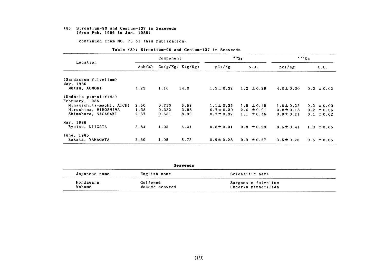#### (8) Strontium-90 and Cesium-137in Se&Veeds (from Feb.1986 to Jun.1986)

-COntinued from NO.75 0f this publication-

|                          | Component                    |       |                      |                | $\frac{90}{5}$ r | $137C_S$       |                |
|--------------------------|------------------------------|-------|----------------------|----------------|------------------|----------------|----------------|
| Location                 | $\text{Ash}(\boldsymbol{x})$ |       | $Ca(g/Kg)$ $K(g/Kg)$ | pCi/Kg         | S.U.             | pci/Kg         | c.u.           |
| (Sargassum fulvellum)    |                              |       |                      |                |                  |                |                |
| May, 1986                |                              |       |                      |                |                  |                |                |
| Mutsu, AOMORI            | 4.23                         | 1.10  | 14.0                 | $1.3 \pm 0.32$ | $1.2 \pm 0.29$   | $4.0 \pm 0.30$ | $0.3 \pm 0.02$ |
| (Undaria pinnatifida)    |                              |       |                      |                |                  |                |                |
| February, 1986           |                              |       |                      |                |                  |                |                |
| Minamichita-machi, AICHI | 2.50                         | 0.710 | 6.58                 | $1.1 \pm 0.35$ | $1.6 \pm 0.49$   | $1.0 \pm 0.22$ | $0.2 \pm 0.03$ |
| Hiroshima, HIROSHIMA     | 1.38                         | 0.332 | 3.88                 | $0.7 \pm 0.30$ | $2.0 \pm 0.91$   | $0.8 \pm 0.18$ | $0.2 \pm 0.05$ |
| Shimabara, NAGASAKI      | 2.57                         | 0.681 | 8.93                 | $0.7 \pm 0.32$ | 1.1 $\pm 0.46$   | $0.9 \pm 0.21$ | $0.1 \pm 0.02$ |
| May, 1986                |                              |       |                      |                |                  |                |                |
| Ryotsu, NIIGATA          | 3.84                         | 1.05  | 6.41                 | $0.8 \pm 0.31$ | $0.8 \pm 0.29$   | $8.5 \pm 0.41$ | $1.3 \pm 0.06$ |
| June, 1986               |                              |       |                      |                |                  |                |                |
| Sakata, YAMAGATA         | 2.60                         | 1.05  | 5.73                 | $0.9 \pm 0.28$ | $0.9 \pm 0.27$   | $3.5 \pm 0.26$ | $0.6 \pm 0.05$ |

|  | Table (8): Strontium-90 and Cesium-137 in Seaweeds |  |  |
|--|----------------------------------------------------|--|--|
|  |                                                    |  |  |

| Seaweeds     |                     |                     |  |  |  |
|--------------|---------------------|---------------------|--|--|--|
| English name | Scientific name     |                     |  |  |  |
| Gulfweed     | Sargassum fulvellum |                     |  |  |  |
|              | Wakame seaweed      | Undaria pinnatifida |  |  |  |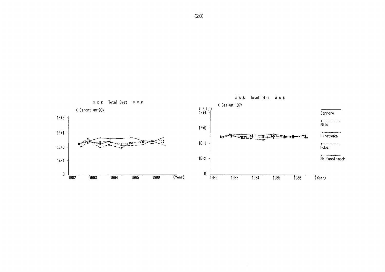

 $\rightarrow$ 

 $(20)$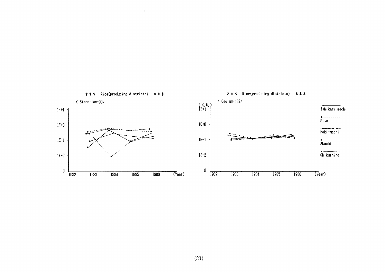

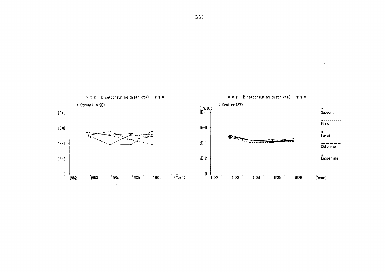

 $(22)$ 

 $\mathbb{R}^2$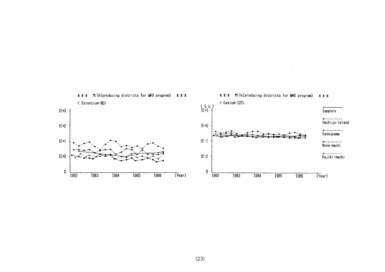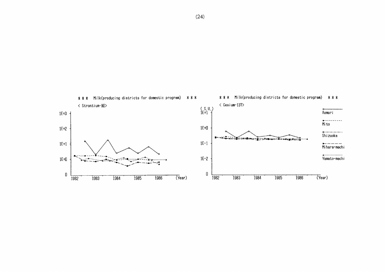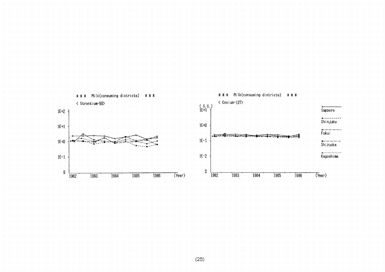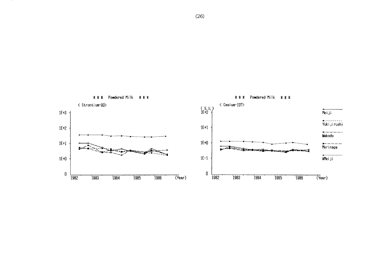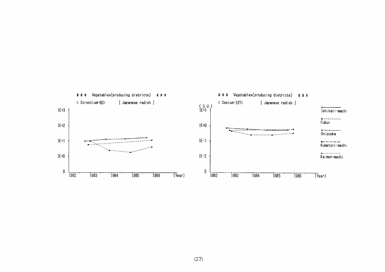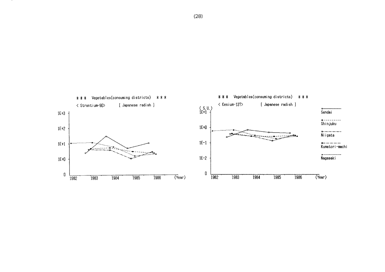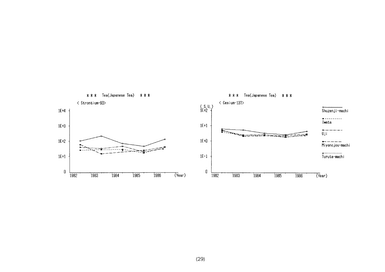

### $(29)$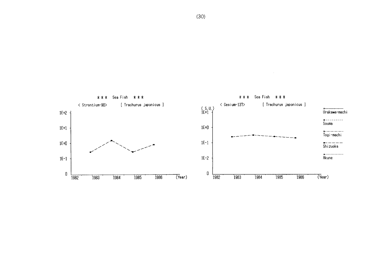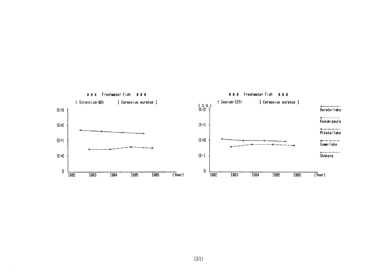



 $\sim$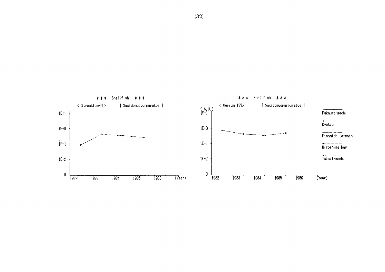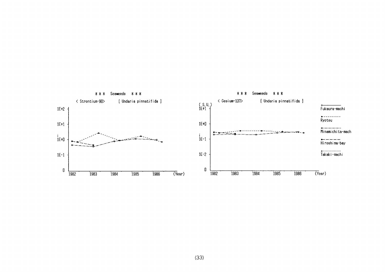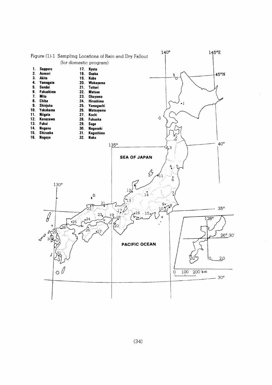

 $(34)$